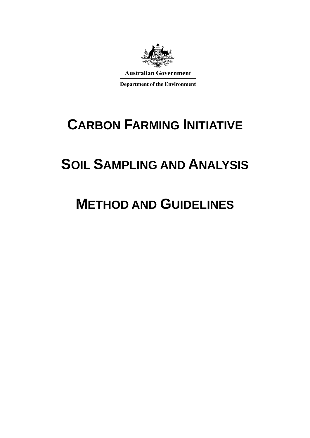

# **CARBON FARMING INITIATIVE**

# **SOIL SAMPLING AND ANALYSIS**

# **METHOD AND GUIDELINES**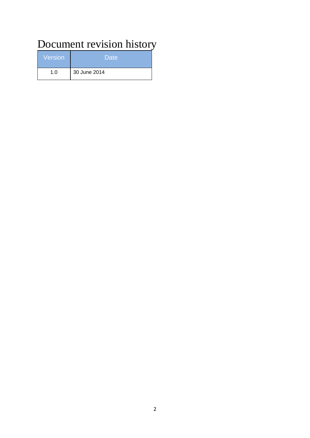## Document revision history

| <b>Version</b> | Date         |
|----------------|--------------|
| 1.0            | 30 June 2014 |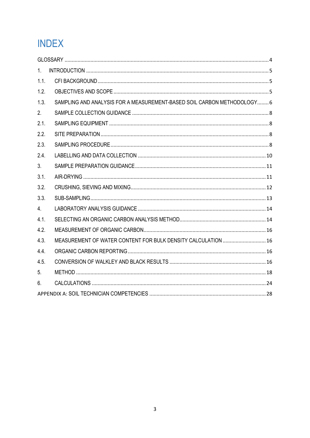## **INDEX**

| 1.   |                                                                        |  |
|------|------------------------------------------------------------------------|--|
| 1.1. |                                                                        |  |
| 1.2. |                                                                        |  |
| 1.3. | SAMPLING AND ANALYSIS FOR A MEASUREMENT-BASED SOIL CARBON METHODOLOGY6 |  |
| 2.   |                                                                        |  |
| 2.1. |                                                                        |  |
| 2.2. |                                                                        |  |
| 2.3. |                                                                        |  |
| 2.4. |                                                                        |  |
| 3.   |                                                                        |  |
| 3.1. |                                                                        |  |
| 3.2. |                                                                        |  |
| 3.3. |                                                                        |  |
| 4.   |                                                                        |  |
| 4.1. |                                                                        |  |
| 4.2. |                                                                        |  |
| 4.3. | MEASUREMENT OF WATER CONTENT FOR BULK DENSITY CALCULATION  16          |  |
| 4.4. |                                                                        |  |
| 4.5. |                                                                        |  |
| 5.   |                                                                        |  |
| 6.   |                                                                        |  |
|      |                                                                        |  |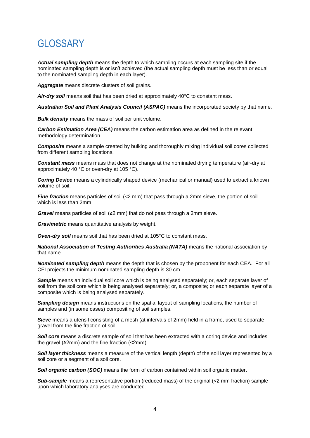## <span id="page-3-0"></span>**GLOSSARY**

*Actual sampling depth* means the depth to which sampling occurs at each sampling site if the nominated sampling depth is or isn't achieved (the actual sampling depth must be less than or equal to the nominated sampling depth in each layer).

*Aggregate* means discrete clusters of soil grains.

*Air-dry soil* means soil that has been dried at approximately 40°C to constant mass.

*Australian Soil and Plant Analysis Council (ASPAC)* means the incorporated society by that name.

*Bulk density* means the mass of soil per unit volume.

*Carbon Estimation Area (CEA)* means the carbon estimation area as defined in the relevant methodology determination.

*Composite* means a sample created by bulking and thoroughly mixing individual soil cores collected from different sampling locations.

*Constant mass* means mass that does not change at the nominated drying temperature (air-dry at approximately 40 °C or oven-dry at 105 °C).

*Coring Device* means a cylindrically shaped device (mechanical or manual) used to extract a known volume of soil.

*Fine fraction* means particles of soil (<2 mm) that pass through a 2mm sieve, the portion of soil which is less than 2mm.

*Gravel* means particles of soil (≥2 mm) that do not pass through a 2mm sieve.

*Gravimetric* means quantitative analysis by weight.

*Oven-dry soil* means soil that has been dried at 105°C to constant mass.

*National Association of Testing Authorities Australia (NATA)* means the national association by that name.

*Nominated sampling depth* means the depth that is chosen by the proponent for each CEA. For all CFI projects the minimum nominated sampling depth is 30 cm.

**Sample** means an individual soil core which is being analysed separately; or, each separate layer of soil from the soil core which is being analysed separately; or, a composite; or each separate layer of a composite which is being analysed separately.

*Sampling design* means **i**nstructions on the spatial layout of sampling locations, the number of samples and (in some cases) compositing of soil samples.

*Sieve* means a utensil consisting of a mesh (at intervals of 2mm) held in a frame, used to separate gravel from the fine fraction of soil.

*Soil core* means a discrete sample of soil that has been extracted with a coring device and includes the gravel ( $\geq 2$ mm) and the fine fraction ( $\leq 2$ mm).

*Soil layer thickness* means a measure of the vertical length (depth) of the soil layer represented by a soil core or a segment of a soil core.

*Soil organic carbon (SOC)* means the form of carbon contained within soil organic matter.

*Sub-sample* means a representative portion (reduced mass) of the original (<2 mm fraction) sample upon which laboratory analyses are conducted.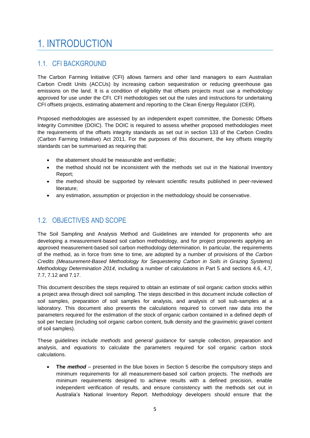## <span id="page-4-0"></span>1. INTRODUCTION

## <span id="page-4-1"></span>1.1. CFI BACKGROUND

The Carbon Farming Initiative (CFI) allows farmers and other land managers to earn Australian Carbon Credit Units (ACCUs) by increasing carbon sequestration or reducing greenhouse gas emissions on the land. It is a condition of eligibility that offsets projects must use a methodology approved for use under the CFI. CFI methodologies set out the rules and instructions for undertaking CFI offsets projects, estimating abatement and reporting to the Clean Energy Regulator (CER).

Proposed methodologies are assessed by an independent expert committee, the Domestic Offsets Integrity Committee (DOIC). The DOIC is required to assess whether proposed methodologies meet the requirements of the offsets integrity standards as set out in section 133 of the Carbon Credits (Carbon Farming Initiative) Act 2011. For the purposes of this document, the key offsets integrity standards can be summarised as requiring that:

- the abatement should be measurable and verifiable;
- the method should not be inconsistent with the methods set out in the National Inventory Report;
- the method should be supported by relevant scientific results published in peer-reviewed literature;
- any estimation, assumption or projection in the methodology should be conservative.

## <span id="page-4-2"></span>1.2. OBJECTIVES AND SCOPE

The Soil Sampling and Analysis Method and Guidelines are intended for proponents who are developing a measurement-based soil carbon methodology, and for project proponents applying an approved measurement-based soil carbon methodology determination. In particular, the requirements of the method, as in force from time to time, are adopted by a number of provisions of the *Carbon Credits (Measurement-Based Methodology for Sequestering Carbon in Soils in Grazing Systems) Methodology Determination 2014,* including a number of calculations in Part 5 and sections 4.6, 4.7, 7.7, 7.12 and 7.17.

This document describes the steps required to obtain an estimate of soil organic carbon stocks within a project area through direct soil sampling. The steps described in this document include collection of soil samples, preparation of soil samples for analysis, and analysis of soil sub-samples at a laboratory. This document also presents the calculations required to convert raw data into the parameters required for the estimation of the stock of organic carbon contained in a defined depth of soil per hectare (including soil organic carbon content, bulk density and the gravimetric gravel content of soil samples).

These guidelines include *methods* and *general guidance* for sample collection, preparation and analysis, and *equations* to calculate the parameters required for soil organic carbon stock calculations.

 **The** *method* – presented in the blue boxes in Section 5 describe the compulsory steps and minimum requirements for all measurement-based soil carbon projects. The methods are minimum requirements designed to achieve results with a defined precision, enable independent verification of results, and ensure consistency with the methods set out in Australia's National Inventory Report. Methodology developers should ensure that the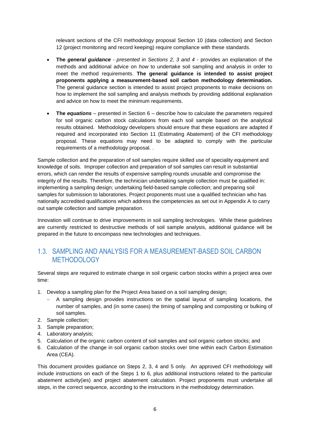relevant sections of the CFI methodology proposal Section 10 (data collection) and Section 12 (project monitoring and record keeping) require compliance with these standards.

- **The** *general guidance - presented in Sections 2, 3 and 4 -* provides an explanation of the methods and additional advice on *how* to undertake soil sampling and analysis in order to meet the method requirements. **The general guidance is intended to assist project proponents applying a measurement-based soil carbon methodology determination.** The general guidance section is intended to assist project proponents to make decisions on how to implement the soil sampling and analysis methods by providing additional explanation and advice on how to meet the minimum requirements.
- The *equations* presented in Section 6 describe how to calculate the parameters required for soil organic carbon stock calculations from each soil sample based on the analytical results obtained. Methodology developers should ensure that these equations are adapted if required and incorporated into Section 11 (Estimating Abatement) of the CFI methodology proposal. These equations may need to be adapted to comply with the particular requirements of a methodology proposal. .

Sample collection and the preparation of soil samples require skilled use of speciality equipment and knowledge of soils. Improper collection and preparation of soil samples can result in substantial errors, which can render the results of expensive sampling rounds unusable and compromise the integrity of the results. Therefore, the technician undertaking sample collection must be qualified in: implementing a sampling design; undertaking field-based sample collection; and preparing soil samples for submission to laboratories. Project proponents must use a qualified technician who has nationally accredited qualifications which address the competencies as set out in Appendix A to carry out sample collection and sample preparation.

Innovation will continue to drive improvements in soil sampling technologies. While these guidelines are currently restricted to destructive methods of soil sample analysis, additional guidance will be prepared in the future to encompass new technologies and techniques.

## <span id="page-5-0"></span>1.3. SAMPLING AND ANALYSIS FOR A MEASUREMENT-BASED SOIL CARBON **METHODOLOGY**

Several steps are required to estimate change in soil organic carbon stocks within a project area over time:

- 1. Develop a sampling plan for the Project Area based on a soil sampling design;
	- A sampling design provides instructions on the spatial layout of sampling locations, the number of samples, and (in some cases) the timing of sampling and compositing or bulking of soil samples.
- 2. Sample collection;
- 3. Sample preparation;
- 4. Laboratory analysis;
- 5. Calculation of the organic carbon content of soil samples and soil organic carbon stocks; and
- 6. Calculation of the change in soil organic carbon stocks over time within each Carbon Estimation Area (CEA).

This document provides guidance on Steps 2, 3, 4 and 5 only. An approved CFI methodology will include instructions on each of the Steps 1 to 6, plus additional instructions related to the particular abatement activity(ies) and project abatement calculation. Project proponents must undertake all steps, in the correct sequence, according to the instructions in the methodology determination.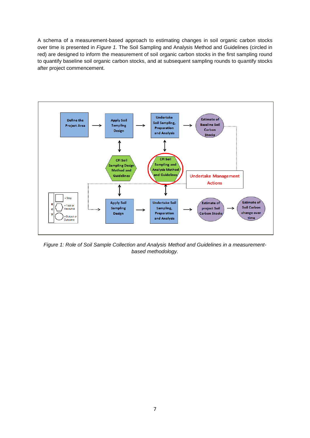A schema of a measurement-based approach to estimating changes in soil organic carbon stocks over time is presented in *Figure 1.* The Soil Sampling and Analysis Method and Guidelines (circled in red) are designed to inform the measurement of soil organic carbon stocks in the first sampling round to quantify baseline soil organic carbon stocks, and at subsequent sampling rounds to quantify stocks after project commencement.



*Figure 1: Role of Soil Sample Collection and Analysis Method and Guidelines in a measurementbased methodology.*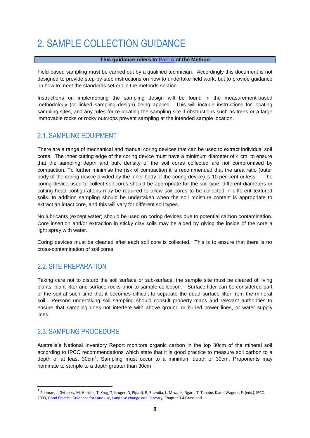## <span id="page-7-0"></span>2. SAMPLE COLLECTION GUIDANCE

#### **This guidance refers to Part A of the Method**

Field-based sampling must be carried out by a qualified technician. Accordingly this document is not designed to provide step-by-step instructions on how to undertake field work, but to provide guidance on how to meet the standards set out in the methods section.

Instructions on implementing the sampling design will be found in the measurement-based methodology (or linked sampling design) being applied. This will include instructions for locating sampling sites, and any rules for re-locating the sampling site if obstructions such as trees or a large immovable rocks or rocky outcrops prevent sampling at the intended sample location.

## <span id="page-7-1"></span>2.1. SAMPLING EQUIPMENT

There are a range of mechanical and manual coring devices that can be used to extract individual soil cores. The inner cutting edge of the coring device must have a minimum diameter of 4 cm, to ensure that the sampling depth and bulk density of the soil cores collected are not compromised by compaction. To further minimise the risk of compaction it is recommended that the area ratio (outer body of the coring device divided by the inner body of the coring device) is 10 per cent or less. The coring device used to collect soil cores should be appropriate for the soil type, different diameters or cutting head configurations may be required to allow soil cores to be collected in different textured soils. In addition sampling should be undertaken when the soil moisture content is appropriate to extract an intact core, and this will vary for different soil types.

No lubricants (except water) should be used on coring devices due to potential carbon contamination. Core insertion and/or extraction in sticky clay soils may be aided by giving the inside of the core a light spray with water.

Coring devices must be cleaned after each soil core is collected. This is to ensure that there is no cross-contamination of soil cores.

## <span id="page-7-2"></span>2.2. SITE PREPARATION

Taking care not to disturb the soil surface or sub-surface, the sample site must be cleared of living plants, plant litter and surface rocks prior to sample collection. Surface litter can be considered part of the soil at such time that it becomes difficult to separate the dead surface litter from the mineral soil. Persons undertaking soil sampling should consult property maps and relevant authorities to ensure that sampling does not interfere with above ground or buried power lines, or water supply lines.

### <span id="page-7-3"></span>2.3. SAMPLING PROCEDURE

**.** 

Australia's National Inventory Report monitors organic carbon in the top 30cm of the mineral soil according to IPCC recommendations which state that it is good practice to measure soil carbon to a depth of at least  $30 \text{cm}^1$ . Sampling must occur to a minimum depth of  $30 \text{cm}$ . Proponents may nominate to sample to a depth greater than 30cm.

<sup>&</sup>lt;sup>1</sup> Penman, J, Gytarsky, M, Hiraishi, T, Krug, T, Kruger, D, Pipatti, R, Buendia, L, Miwa, K, Ngara, T, Tanabe, K and Wagner, F, (eds.), IPCC, 2003[, Good Practice Guidance for Land use, Land use change and Forestry,](http://www.ipcc-nggip.iges.or.jp/public/gpglulucf/gpglulucf.html) Chapter 3.4 Grassland.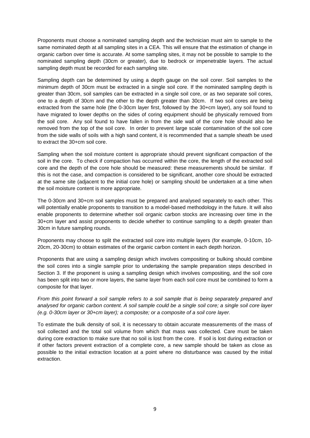Proponents must choose a nominated sampling depth and the technician must aim to sample to the same nominated depth at all sampling sites in a CEA. This will ensure that the estimation of change in organic carbon over time is accurate. At some sampling sites, it may not be possible to sample to the nominated sampling depth (30cm or greater), due to bedrock or impenetrable layers. The actual sampling depth must be recorded for each sampling site.

Sampling depth can be determined by using a depth gauge on the soil corer. Soil samples to the minimum depth of 30cm must be extracted in a single soil core. If the nominated sampling depth is greater than 30cm, soil samples can be extracted in a single soil core, or as two separate soil cores, one to a depth of 30cm and the other to the depth greater than 30cm. If two soil cores are being extracted from the same hole (the 0-30cm layer first, followed by the 30+cm layer), any soil found to have migrated to lower depths on the sides of coring equipment should be physically removed from the soil core. Any soil found to have fallen in from the side wall of the core hole should also be removed from the top of the soil core. In order to prevent large scale contamination of the soil core from the side walls of soils with a high sand content, it is recommended that a sample sheath be used to extract the 30+cm soil core.

Sampling when the soil moisture content is appropriate should prevent significant compaction of the soil in the core. To check if compaction has occurred within the core, the length of the extracted soil core and the depth of the core hole should be measured: these measurements should be similar. If this is not the case, and compaction is considered to be significant, another core should be extracted at the same site (adjacent to the initial core hole) or sampling should be undertaken at a time when the soil moisture content is more appropriate.

The 0-30cm and 30+cm soil samples must be prepared and analysed separately to each other. This will potentially enable proponents to transition to a model-based methodology in the future. It will also enable proponents to determine whether soil organic carbon stocks are increasing over time in the 30+cm layer and assist proponents to decide whether to continue sampling to a depth greater than 30cm in future sampling rounds.

Proponents may choose to split the extracted soil core into multiple layers (for example, 0-10cm, 10- 20cm, 20-30cm) to obtain estimates of the organic carbon content in each depth horizon.

Proponents that are using a sampling design which involves compositing or bulking should combine the soil cores into a single sample prior to undertaking the sample preparation steps described in Section 3. If the proponent is using a sampling design which involves compositing, and the soil core has been split into two or more layers, the same layer from each soil core must be combined to form a composite for that layer.

*From this point forward a soil sample refers to a soil sample that is being separately prepared and analysed for organic carbon content. A soil sample could be a single soil core; a single soil core layer (e.g. 0-30cm layer or 30+cm layer); a composite; or a composite of a soil core layer.*

To estimate the bulk density of soil, it is necessary to obtain accurate measurements of the mass of soil collected and the total soil volume from which that mass was collected. Care must be taken during core extraction to make sure that no soil is lost from the core. If soil is lost during extraction or if other factors prevent extraction of a complete core, a new sample should be taken as close as possible to the initial extraction location at a point where no disturbance was caused by the initial extraction.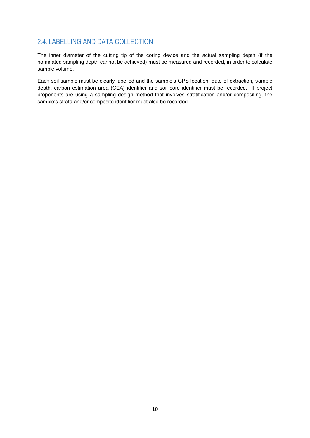## <span id="page-9-0"></span>2.4. LABELLING AND DATA COLLECTION

The inner diameter of the cutting tip of the coring device and the actual sampling depth (if the nominated sampling depth cannot be achieved) must be measured and recorded, in order to calculate sample volume.

Each soil sample must be clearly labelled and the sample's GPS location, date of extraction, sample depth, carbon estimation area (CEA) identifier and soil core identifier must be recorded. If project proponents are using a sampling design method that involves stratification and/or compositing, the sample's strata and/or composite identifier must also be recorded.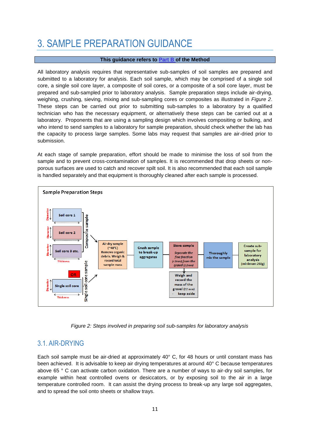## <span id="page-10-0"></span>3. SAMPLE PREPARATION GUIDANCE

#### **This guidance refers to Part B of the Method**

All laboratory analysis requires that representative sub-samples of soil samples are prepared and submitted to a laboratory for analysis. Each soil sample, which may be comprised of a single soil core, a single soil core layer, a composite of soil cores, or a composite of a soil core layer, must be prepared and sub-sampled prior to laboratory analysis. Sample preparation steps include air-drying, weighing, crushing, sieving, mixing and sub-sampling cores or composites as illustrated in *Figure 2*. These steps can be carried out prior to submitting sub-samples to a laboratory by a qualified technician who has the necessary equipment, or alternatively these steps can be carried out at a laboratory. Proponents that are using a sampling design which involves compositing or bulking, and who intend to send samples to a laboratory for sample preparation, should check whether the lab has the capacity to process large samples. Some labs may request that samples are air-dried prior to submission.

At each stage of sample preparation, effort should be made to minimise the loss of soil from the sample and to prevent cross-contamination of samples. It is recommended that drop sheets or nonporous surfaces are used to catch and recover spilt soil. It is also recommended that each soil sample is handled separately and that equipment is thoroughly cleaned after each sample is processed.



*Figure 2: Steps involved in preparing soil sub-samples for laboratory analysis*

### <span id="page-10-1"></span>3.1. AIR-DRYING

Each soil sample must be air-dried at approximately 40° C, for 48 hours or until constant mass has been achieved. It is advisable to keep air drying temperatures at around 40° C because temperatures above 65 ° C can activate carbon oxidation. There are a number of ways to air-dry soil samples, for example within heat controlled ovens or desiccators, or by exposing soil to the air in a large temperature controlled room. It can assist the drying process to break-up any large soil aggregates, and to spread the soil onto sheets or shallow trays.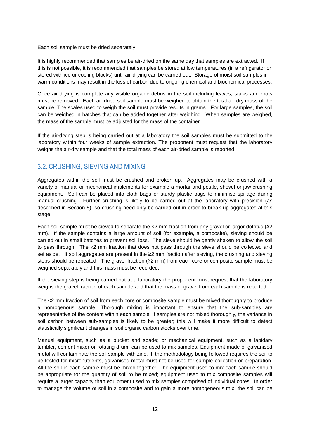Each soil sample must be dried separately.

It is highly recommended that samples be air-dried on the same day that samples are extracted. If this is not possible, it is recommended that samples be stored at low temperatures (in a refrigerator or stored with ice or cooling blocks) until air-drying can be carried out. Storage of moist soil samples in warm conditions may result in the loss of carbon due to ongoing chemical and biochemical processes.

Once air-drying is complete any visible organic debris in the soil including leaves, stalks and roots must be removed. Each air-dried soil sample must be weighed to obtain the total air-dry mass of the sample. The scales used to weigh the soil must provide results in grams. For large samples, the soil can be weighed in batches that can be added together after weighing. When samples are weighed, the mass of the sample must be adjusted for the mass of the container.

If the air-drying step is being carried out at a laboratory the soil samples must be submitted to the laboratory within four weeks of sample extraction. The proponent must request that the laboratory weighs the air-dry sample and that the total mass of each air-dried sample is reported.

## <span id="page-11-0"></span>3.2. CRUSHING, SIEVING AND MIXING

Aggregates within the soil must be crushed and broken up. Aggregates may be crushed with a variety of manual or mechanical implements for example a mortar and pestle, shovel or jaw crushing equipment. Soil can be placed into cloth bags or sturdy plastic bags to minimise spillage during manual crushing. Further crushing is likely to be carried out at the laboratory with precision (as described in Section 5), so crushing need only be carried out in order to break-up aggregates at this stage.

Each soil sample must be sieved to separate the  $\lt 2$  mm fraction from any gravel or larger detritus ( $\geq 2$ ) mm). If the sample contains a large amount of soil (for example, a composite), sieving should be carried out in small batches to prevent soil loss. The sieve should be gently shaken to allow the soil to pass through. The ≥2 mm fraction that does not pass through the sieve should be collected and set aside. If soil aggregates are present in the ≥2 mm fraction after sieving, the crushing and sieving steps should be repeated. The gravel fraction (≥2 mm) from each core or composite sample must be weighed separately and this mass must be recorded.

If the sieving step is being carried out at a laboratory the proponent must request that the laboratory weighs the gravel fraction of each sample and that the mass of gravel from each sample is reported.

The <2 mm fraction of soil from each core or composite sample must be mixed thoroughly to produce a homogenous sample. Thorough mixing is important to ensure that the sub-samples are representative of the content within each sample. If samples are not mixed thoroughly, the variance in soil carbon between sub-samples is likely to be greater; this will make it more difficult to detect statistically significant changes in soil organic carbon stocks over time.

Manual equipment, such as a bucket and spade; or mechanical equipment, such as a lapidary tumbler, cement mixer or rotating drum, can be used to mix samples. Equipment made of galvanised metal will contaminate the soil sample with zinc. If the methodology being followed requires the soil to be tested for micronutrients, galvanised metal must not be used for sample collection or preparation. All the soil in each sample must be mixed together. The equipment used to mix each sample should be appropriate for the quantity of soil to be mixed; equipment used to mix composite samples will require a larger capacity than equipment used to mix samples comprised of individual cores. In order to manage the volume of soil in a composite and to gain a more homogeneous mix, the soil can be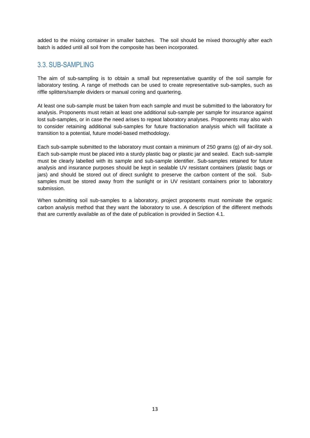added to the mixing container in smaller batches. The soil should be mixed thoroughly after each batch is added until all soil from the composite has been incorporated.

### <span id="page-12-0"></span>3.3. SUB-SAMPLING

The aim of sub-sampling is to obtain a small but representative quantity of the soil sample for laboratory testing. A range of methods can be used to create representative sub-samples, such as riffle splitters/sample dividers or manual coning and quartering.

At least one sub-sample must be taken from each sample and must be submitted to the laboratory for analysis. Proponents must retain at least one additional sub-sample per sample for insurance against lost sub-samples, or in case the need arises to repeat laboratory analyses. Proponents may also wish to consider retaining additional sub-samples for future fractionation analysis which will facilitate a transition to a potential, future model-based methodology.

Each sub-sample submitted to the laboratory must contain a minimum of 250 grams (g) of air-dry soil. Each sub-sample must be placed into a sturdy plastic bag or plastic jar and sealed. Each sub-sample must be clearly labelled with its sample and sub-sample identifier. Sub-samples retained for future analysis and insurance purposes should be kept in sealable UV resistant containers (plastic bags or jars) and should be stored out of direct sunlight to preserve the carbon content of the soil. Subsamples must be stored away from the sunlight or in UV resistant containers prior to laboratory submission.

When submitting soil sub-samples to a laboratory, project proponents must nominate the organic carbon analysis method that they want the laboratory to use. A description of the different methods that are currently available as of the date of publication is provided in Section 4.1.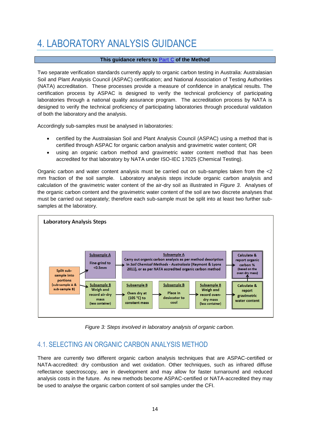## <span id="page-13-0"></span>4. LABORATORY ANALYSIS GUIDANCE

#### **This guidance refers to Part C of the Method**

Two separate verification standards currently apply to organic carbon testing in Australia: Australasian Soil and Plant Analysis Council (ASPAC) certification; and National Association of Testing Authorities (NATA) accreditation. These processes provide a measure of confidence in analytical results. The certification process by ASPAC is designed to verify the technical proficiency of participating laboratories through a national quality assurance program. The accreditation process by NATA is designed to verify the technical proficiency of participating laboratories through procedural validation of both the laboratory and the analysis.

Accordingly sub-samples must be analysed in laboratories:

- certified by the Australasian Soil and Plant Analysis Council (ASPAC) using a method that is certified through ASPAC for organic carbon analysis and gravimetric water content; OR
- using an organic carbon method and gravimetric water content method that has been accredited for that laboratory by NATA under ISO-IEC 17025 (Chemical Testing).

Organic carbon and water content analysis must be carried out on sub-samples taken from the <2 mm fraction of the soil sample. Laboratory analysis steps include organic carbon analysis and calculation of the gravimetric water content of the air-dry soil as illustrated in *Figure 3*. Analyses of the organic carbon content and the gravimetric water content of the soil are two discrete analyses that must be carried out separately; therefore each sub-sample must be split into at least two further subsamples at the laboratory.



*Figure 3: Steps involved in laboratory analysis of organic carbon.*

## <span id="page-13-1"></span>4.1. SELECTING AN ORGANIC CARBON ANALYSIS METHOD

There are currently two different organic carbon analysis techniques that are ASPAC-certified or NATA-accredited: dry combustion and wet oxidation. Other techniques, such as infrared diffuse reflectance spectroscopy, are in development and may allow for faster turnaround and reduced analysis costs in the future. As new methods become ASPAC-certified or NATA-accredited they may be used to analyse the organic carbon content of soil samples under the CFI.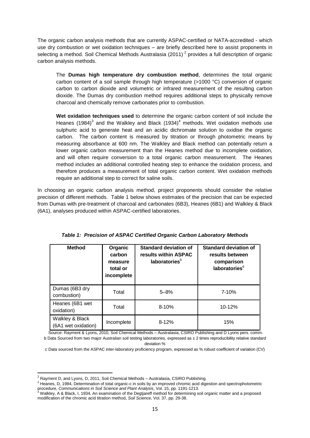The organic carbon analysis methods that are currently ASPAC-certified or NATA-accredited - which use dry combustion or wet oxidation techniques – are briefly described here to assist proponents in selecting a method. Soil Chemical Methods Australasia (2011)<sup>2</sup> provides a full description of organic carbon analysis methods.

The **Dumas high temperature dry combustion method**, determines the total organic carbon content of a soil sample through high temperature (>1000 °C) conversion of organic carbon to carbon dioxide and volumetric or infrared measurement of the resulting carbon dioxide. The Dumas dry combustion method requires additional steps to physically remove charcoal and chemically remove carbonates prior to combustion.

**Wet oxidation techniques used** to determine the organic carbon content of soil include the Heanes (1984)<sup>3</sup> and the Walkley and Black (1934)<sup>4</sup> methods. Wet oxidation methods use sulphuric acid to generate heat and an acidic dichromate solution to oxidise the organic carbon. The carbon content is measured by titration or through photometric means by measuring absorbance at 600 nm. The Walkley and Black method can potentially return a lower organic carbon measurement than the Heanes method due to incomplete oxidation, and will often require conversion to a total organic carbon measurement. The Heanes method includes an additional controlled heating step to enhance the oxidation process, and therefore produces a measurement of total organic carbon content. Wet oxidation methods require an additional step to correct for saline soils.

In choosing an organic carbon analysis method, project proponents should consider the relative precision of different methods. Table 1 below shows estimates of the precision that can be expected from Dumas with pre-treatment of charcoal and carbonates (6B3), Heanes (6B1) and Walkley & Black (6A1), analyses produced within ASPAC-certified laboratories.

| <b>Method</b>                          | Organic<br>carbon<br>measure<br>total or<br>incomplete | <b>Standard deviation of</b><br>results within ASPAC<br>laboratories <sup>b</sup> | <b>Standard deviation of</b><br>results between<br>comparison<br>laboratories <sup>c</sup> |
|----------------------------------------|--------------------------------------------------------|-----------------------------------------------------------------------------------|--------------------------------------------------------------------------------------------|
| Dumas (6B3 dry<br>combustion)          | Total                                                  | $5 - 8%$                                                                          | 7-10%                                                                                      |
| Heanes (6B1 wet<br>oxidation)          | Total                                                  | $8 - 10%$                                                                         | $10 - 12%$                                                                                 |
| Walkley & Black<br>(6A1 wet oxidation) | Incomplete                                             | $8 - 12%$                                                                         | 15%                                                                                        |

|  |  | Table 1: Precision of ASPAC Certified Organic Carbon Laboratory Methods |  |
|--|--|-------------------------------------------------------------------------|--|
|  |  |                                                                         |  |

Source: Rayment & Lyons, 2010, Soil Chemical Methods – Australasia, CSIRO Publishing and D Lyons pers. comm. b Data Sourced from two major Australian soil testing laboratories, expressed as  $\pm 2$  times reproducibility relative standard

deviation %

c Data sourced from the ASPAC inter-laboratory proficiency program, expressed as % robust coefficient of variation (CV)

**.** 

 $2$  Rayment D, and Lyons, D, 2011, Soil Chemical Methods – Australasia, CSIRO Publishing.

<sup>&</sup>lt;sup>3</sup> Heanes, D, 1984, Determination of total organic-c in soils by an improved chromic acid digestion and spectrophotometric

procedure, *Communications in Soil Science and Plant Analysis*, Vol. 15, pp. 1191-1213.<br><sup>4</sup> Walkley, A & Black, I, 1934, An examination of the Degtjareff method for determining soil organic matter and a proposed modification of the chromic acid titration method, *Soil Science*, Vol. 37, pp. 29-38.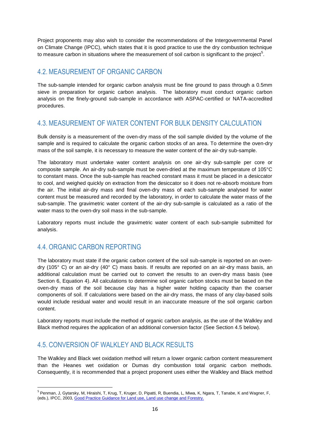Project proponents may also wish to consider the recommendations of the Intergovernmental Panel on Climate Change (IPCC), which states that it is good practice to use the dry combustion technique to measure carbon in situations where the measurement of soil carbon is significant to the project<sup>5</sup>.

## <span id="page-15-0"></span>4.2. MEASUREMENT OF ORGANIC CARBON

The sub-sample intended for organic carbon analysis must be fine ground to pass through a 0.5mm sieve in preparation for organic carbon analysis. The laboratory must conduct organic carbon analysis on the finely-ground sub-sample in accordance with ASPAC-certified or NATA-accredited procedures.

## <span id="page-15-1"></span>4.3. MEASUREMENT OF WATER CONTENT FOR BULK DENSITY CALCULATION

Bulk density is a measurement of the oven-dry mass of the soil sample divided by the volume of the sample and is required to calculate the organic carbon stocks of an area. To determine the oven-dry mass of the soil sample, it is necessary to measure the water content of the air-dry sub-sample.

The laboratory must undertake water content analysis on one air-dry sub-sample per core or composite sample. An air-dry sub-sample must be oven-dried at the maximum temperature of 105°C to constant mass. Once the sub-sample has reached constant mass it must be placed in a desiccator to cool, and weighed quickly on extraction from the desiccator so it does not re-absorb moisture from the air. The initial air-dry mass and final oven-dry mass of each sub-sample analysed for water content must be measured and recorded by the laboratory, in order to calculate the water mass of the sub-sample. The gravimetric water content of the air-dry sub-sample is calculated as a ratio of the water mass to the oven-dry soil mass in the sub-sample.

Laboratory reports must include the gravimetric water content of each sub-sample submitted for analysis.

## <span id="page-15-2"></span>4.4. ORGANIC CARBON REPORTING

**.** 

The laboratory must state if the organic carbon content of the soil sub-sample is reported on an ovendry (105° C) or an air-dry (40° C) mass basis. If results are reported on an air-dry mass basis, an additional calculation must be carried out to convert the results to an oven-dry mass basis (see Section 6, Equation 4). All calculations to determine soil organic carbon stocks must be based on the oven-dry mass of the soil because clay has a higher water holding capacity than the coarser components of soil. If calculations were based on the air-dry mass, the mass of any clay-based soils would include residual water and would result in an inaccurate measure of the soil organic carbon content.

Laboratory reports must include the method of organic carbon analysis, as the use of the Walkley and Black method requires the application of an additional conversion factor (See Section 4.5 below).

### <span id="page-15-3"></span>4.5. CONVERSION OF WALKLEY AND BLACK RESULTS

The Walkley and Black wet oxidation method will return a lower organic carbon content measurement than the Heanes wet oxidation or Dumas dry combustion total organic carbon methods. Consequently, it is recommended that a project proponent uses either the Walkley and Black method

<sup>&</sup>lt;sup>5</sup> Penman, J, Gytarsky, M, Hiraishi, T, Krug, T, Kruger, D, Pipatti, R, Buendia, L, Miwa, K, Ngara, T, Tanabe, K and Wagner, F, (eds.), IPCC, 2003[, Good Practice Guidance for Land use, Land use change and Forestry.](http://www.ipcc-nggip.iges.or.jp/public/gpglulucf/gpglulucf.html)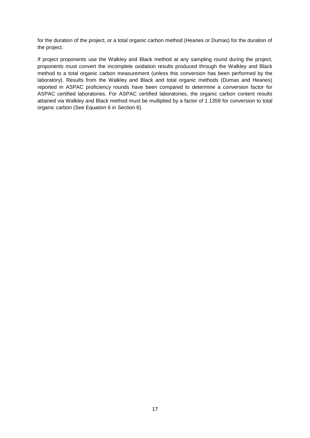for the duration of the project, or a total organic carbon method (Heanes or Dumas) for the duration of the project.

If project proponents use the Walkley and Black method at any sampling round during the project, proponents must convert the incomplete oxidation results produced through the Walkley and Black method to a total organic carbon measurement (unless this conversion has been performed by the laboratory). Results from the Walkley and Black and total organic methods (Dumas and Heanes) reported in ASPAC proficiency rounds have been compared to determine a conversion factor for ASPAC certified laboratories. For ASPAC certified laboratories, the organic carbon content results attained via Walkley and Black method must be multiplied by a factor of 1.1359 for conversion to total organic carbon (See Equation 6 in Section 6).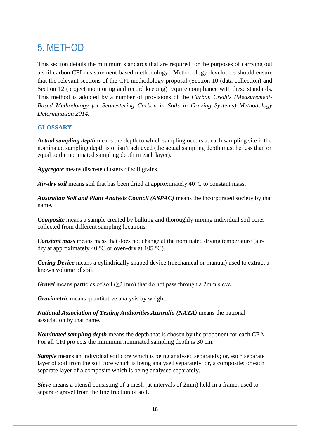## <span id="page-17-0"></span>5. METHOD

This section details the minimum standards that are required for the purposes of carrying out a soil-carbon CFI measurement-based methodology. Methodology developers should ensure that the relevant sections of the CFI methodology proposal (Section 10 (data collection) and Section 12 (project monitoring and record keeping) require compliance with these standards. This method is adopted by a number of provisions of the *Carbon Credits (Measurement-Based Methodology for Sequestering Carbon in Soils in Grazing Systems) Methodology Determination 2014.*

#### **GLOSSARY**

*Actual sampling depth* means the depth to which sampling occurs at each sampling site if the nominated sampling depth is or isn't achieved (the actual sampling depth must be less than or equal to the nominated sampling depth in each layer).

*Aggregate* means discrete clusters of soil grains.

*Air-dry soil* means soil that has been dried at approximately 40°C to constant mass.

*Australian Soil and Plant Analysis Council (ASPAC)* means the incorporated society by that name.

*Composite* means a sample created by bulking and thoroughly mixing individual soil cores collected from different sampling locations.

*Constant mass* means mass that does not change at the nominated drying temperature (airdry at approximately 40  $^{\circ}$ C or oven-dry at 105  $^{\circ}$ C).

*Coring Device* means a cylindrically shaped device (mechanical or manual) used to extract a known volume of soil.

*Gravel* means particles of soil ( $>2$  mm) that do not pass through a 2mm sieve.

*Gravimetric* means quantitative analysis by weight.

*National Association of Testing Authorities Australia (NATA)* means the national association by that name.

*Nominated sampling depth* means the depth that is chosen by the proponent for each CEA. For all CFI projects the minimum nominated sampling depth is 30 cm.

*Sample* means an individual soil core which is being analysed separately; or, each separate layer of soil from the soil core which is being analysed separately; or, a composite; or each separate layer of a composite which is being analysed separately.

*Sieve* means a utensil consisting of a mesh (at intervals of 2mm) held in a frame, used to separate gravel from the fine fraction of soil.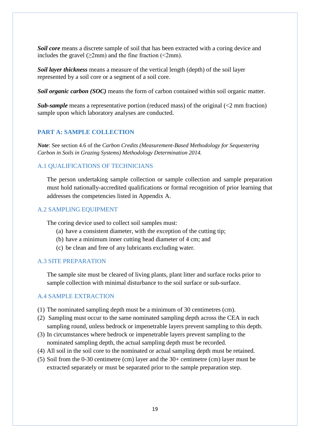*Soil core* means a discrete sample of soil that has been extracted with a coring device and includes the gravel  $(\geq 2 \text{mm})$  and the fine fraction (<2mm).

*Soil layer thickness* means a measure of the vertical length (depth) of the soil layer represented by a soil core or a segment of a soil core.

*Soil organic carbon (SOC)* means the form of carbon contained within soil organic matter.

*Sub-sample* means a representative portion (reduced mass) of the original (<2 mm fraction) sample upon which laboratory analyses are conducted.

#### **PART A: SAMPLE COLLECTION**

*Note*: See section 4.6 of the *Carbon Credits (Measurement-Based Methodology for Sequestering Carbon in Soils in Grazing Systems) Methodology Determination 2014.*

#### A.1 QUALIFICATIONS OF TECHNICIANS

The person undertaking sample collection or sample collection and sample preparation must hold nationally-accredited qualifications or formal recognition of prior learning that addresses the competencies listed in Appendix A.

#### A.2 SAMPLING EQUIPMENT

The coring device used to collect soil samples must:

- (a) have a consistent diameter, with the exception of the cutting tip;
- (b) have a minimum inner cutting head diameter of 4 cm; and
- (c) be clean and free of any lubricants excluding water.

#### A.3 SITE PREPARATION

The sample site must be cleared of living plants, plant litter and surface rocks prior to sample collection with minimal disturbance to the soil surface or sub-surface.

#### A.4 SAMPLE EXTRACTION

- (1) The nominated sampling depth must be a minimum of 30 centimetres (cm).
- (2) Sampling must occur to the same nominated sampling depth across the CEA in each sampling round, unless bedrock or impenetrable layers prevent sampling to this depth.
- (3) In circumstances where bedrock or impenetrable layers prevent sampling to the nominated sampling depth, the actual sampling depth must be recorded.
- (4) All soil in the soil core to the nominated or actual sampling depth must be retained.
- (5) Soil from the 0-30 centimetre (cm) layer and the 30+ centimetre (cm) layer must be extracted separately or must be separated prior to the sample preparation step.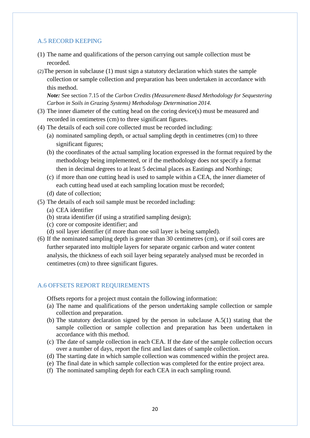#### A.5 RECORD KEEPING

- (1) The name and qualifications of the person carrying out sample collection must be recorded.
- (2)The person in subclause (1) must sign a statutory declaration which states the sample collection or sample collection and preparation has been undertaken in accordance with this method.

*Note:* See section 7.15 of the *Carbon Credits (Measurement-Based Methodology for Sequestering Carbon in Soils in Grazing Systems) Methodology Determination 2014.*

- (3) The inner diameter of the cutting head on the coring device(s) must be measured and recorded in centimetres (cm) to three significant figures.
- (4) The details of each soil core collected must be recorded including:
	- (a) nominated sampling depth, or actual sampling depth in centimetres (cm) to three significant figures;
	- (b) the coordinates of the actual sampling location expressed in the format required by the methodology being implemented, or if the methodology does not specify a format then in decimal degrees to at least 5 decimal places as Eastings and Northings;
	- (c) if more than one cutting head is used to sample within a CEA, the inner diameter of each cutting head used at each sampling location must be recorded;
	- (d) date of collection;
- (5) The details of each soil sample must be recorded including:
	- (a) CEA identifier
	- (b) strata identifier (if using a stratified sampling design);
	- (c) core or composite identifier; and
	- (d) soil layer identifier (if more than one soil layer is being sampled).
- (6) If the nominated sampling depth is greater than 30 centimetres (cm), or if soil cores are further separated into multiple layers for separate organic carbon and water content analysis, the thickness of each soil layer being separately analysed must be recorded in centimetres (cm) to three significant figures.

#### A.6 OFFSETS REPORT REQUIREMENTS

Offsets reports for a project must contain the following information:

- (a) The name and qualifications of the person undertaking sample collection or sample collection and preparation.
- (b) The statutory declaration signed by the person in subclause A.5(1) stating that the sample collection or sample collection and preparation has been undertaken in accordance with this method.
- (c) The date of sample collection in each CEA. If the date of the sample collection occurs over a number of days, report the first and last dates of sample collection.
- (d) The starting date in which sample collection was commenced within the project area.
- (e) The final date in which sample collection was completed for the entire project area.
- (f) The nominated sampling depth for each CEA in each sampling round.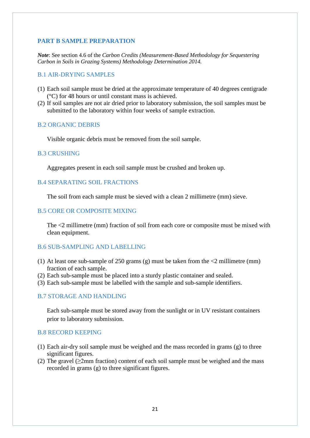#### **PART B SAMPLE PREPARATION**

*Note*: See section 4.6 of the *Carbon Credits (Measurement-Based Methodology for Sequestering Carbon in Soils in Grazing Systems) Methodology Determination 2014.*

#### B.1 AIR-DRYING SAMPLES

- (1) Each soil sample must be dried at the approximate temperature of 40 degrees centigrade (°C) for 48 hours or until constant mass is achieved.
- (2) If soil samples are not air dried prior to laboratory submission, the soil samples must be submitted to the laboratory within four weeks of sample extraction.

#### B.2 ORGANIC DEBRIS

Visible organic debris must be removed from the soil sample.

#### B.3 CRUSHING

Aggregates present in each soil sample must be crushed and broken up.

#### B.4 SEPARATING SOIL FRACTIONS

The soil from each sample must be sieved with a clean 2 millimetre (mm) sieve.

#### B.5 CORE OR COMPOSITE MIXING

The <2 millimetre (mm) fraction of soil from each core or composite must be mixed with clean equipment.

#### B.6 SUB-SAMPLING AND LABELLING

- (1) At least one sub-sample of 250 grams (g) must be taken from the  $\langle 2 \text{ millimetre (mm)} \rangle$ fraction of each sample.
- (2) Each sub-sample must be placed into a sturdy plastic container and sealed.
- (3) Each sub-sample must be labelled with the sample and sub-sample identifiers.

#### B.7 STORAGE AND HANDLING

Each sub-sample must be stored away from the sunlight or in UV resistant containers prior to laboratory submission.

#### B.8 RECORD KEEPING

- (1) Each air-dry soil sample must be weighed and the mass recorded in grams (g) to three significant figures.
- (2) The gravel ( $\geq$ 2mm fraction) content of each soil sample must be weighed and the mass recorded in grams (g) to three significant figures.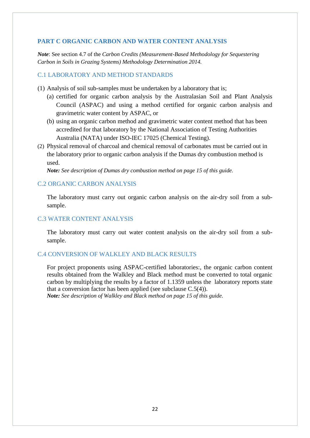#### **PART C ORGANIC CARBON AND WATER CONTENT ANALYSIS**

*Note*: See section 4.7 of the *Carbon Credits (Measurement-Based Methodology for Sequestering Carbon in Soils in Grazing Systems) Methodology Determination 2014.*

#### C.1 LABORATORY AND METHOD STANDARDS

- (1) Analysis of soil sub-samples must be undertaken by a laboratory that is;
	- (a) certified for organic carbon analysis by the Australasian Soil and Plant Analysis Council (ASPAC) and using a method certified for organic carbon analysis and gravimetric water content by ASPAC, or
	- (b) using an organic carbon method and gravimetric water content method that has been accredited for that laboratory by the National Association of Testing Authorities Australia (NATA) under ISO-IEC 17025 (Chemical Testing).
- (2) Physical removal of charcoal and chemical removal of carbonates must be carried out in the laboratory prior to organic carbon analysis if the Dumas dry combustion method is used.

*Note: See description of Dumas dry combustion method on page 15 of this guide.*

#### C.2 ORGANIC CARBON ANALYSIS

The laboratory must carry out organic carbon analysis on the air-dry soil from a subsample.

#### C.3 WATER CONTENT ANALYSIS

The laboratory must carry out water content analysis on the air-dry soil from a subsample.

#### C.4 CONVERSION OF WALKLEY AND BLACK RESULTS

For project proponents using ASPAC-certified laboratories:, the organic carbon content results obtained from the Walkley and Black method must be converted to total organic carbon by multiplying the results by a factor of 1.1359 unless the laboratory reports state that a conversion factor has been applied (see subclause C.5(4)). *Note: See description of Walkley and Black method on page 15 of this guide.*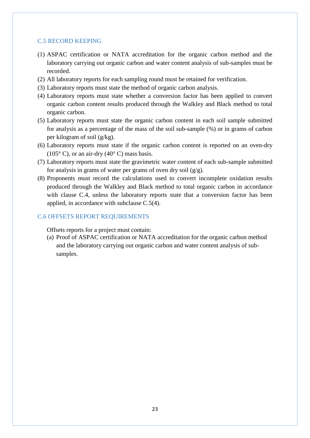#### C.5 RECORD KEEPING

- (1) ASPAC certification or NATA accreditation for the organic carbon method and the laboratory carrying out organic carbon and water content analysis of sub-samples must be recorded.
- (2) All laboratory reports for each sampling round must be retained for verification.
- (3) Laboratory reports must state the method of organic carbon analysis.
- (4) Laboratory reports must state whether a conversion factor has been applied to convert organic carbon content results produced through the Walkley and Black method to total organic carbon.
- (5) Laboratory reports must state the organic carbon content in each soil sample submitted for analysis as a percentage of the mass of the soil sub-sample (%) or in grams of carbon per kilogram of soil (g/kg).
- (6) Laboratory reports must state if the organic carbon content is reported on an oven-dry  $(105^{\circ} \text{ C})$ , or an air-dry  $(40^{\circ} \text{ C})$  mass basis.
- (7) Laboratory reports must state the gravimetric water content of each sub-sample submitted for analysis in grams of water per grams of oven dry soil  $(g/g)$ .
- (8) Proponents must record the calculations used to convert incomplete oxidation results produced through the Walkley and Black method to total organic carbon in accordance with clause C.4, unless the laboratory reports state that a conversion factor has been applied, in accordance with subclause C.5(4).

#### C.6 OFFSETS REPORT REQUIREMENTS

Offsets reports for a project must contain:

(a) Proof of ASPAC certification or NATA accreditation for the organic carbon method and the laboratory carrying out organic carbon and water content analysis of subsamples.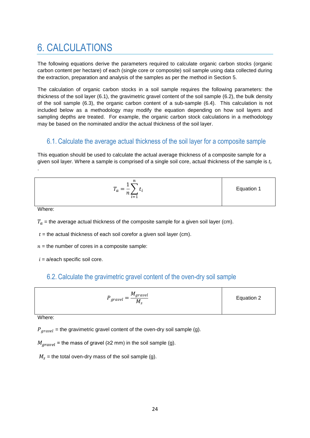## <span id="page-23-0"></span>6. CALCULATIONS

The following equations derive the parameters required to calculate organic carbon stocks (organic carbon content per hectare) of each (single core or composite) soil sample using data collected during the extraction, preparation and analysis of the samples as per the method in Section 5.

The calculation of organic carbon stocks in a soil sample requires the following parameters: the thickness of the soil layer (6.1), the gravimetric gravel content of the soil sample (6.2), the bulk density of the soil sample (6.3), the organic carbon content of a sub-sample (6.4). This calculation is not included below as a methodology may modify the equation depending on how soil layers and sampling depths are treated. For example, the organic carbon stock calculations in a methodology may be based on the nominated and/or the actual thickness of the soil layer.

#### 6.1. Calculate the average actual thickness of the soil layer for a composite sample

This equation should be used to calculate the actual average thickness of a composite sample for a given soil layer. Where a sample is comprised of a single soil core, actual thickness of the sample is *t<sup>i</sup> .* 

$$
T_a = \frac{1}{n} \sum_{i=1}^n t_i
$$
 Equation 1

Where:

.

 $T_a$  = the average actual thickness of the composite sample for a given soil layer (cm).

 $t =$  the actual thickness of each soil corefor a given soil layer (cm).

 $n =$  the number of cores in a composite sample:

 $i = a$ /each specific soil core.

## 6.2. Calculate the gravimetric gravel content of the oven-dry soil sample

| $P_{gravel} = \frac{M_{gravel}}{1}$<br>$M_{\rm c}$ | Equation 2 |
|----------------------------------------------------|------------|
|----------------------------------------------------|------------|

Where:

 $P_{aravel}$  = the gravimetric gravel content of the oven-dry soil sample (g).

 $M_{aravel}$  = the mass of gravel (≥2 mm) in the soil sample (g).

 $M<sub>s</sub>$  = the total oven-dry mass of the soil sample (g).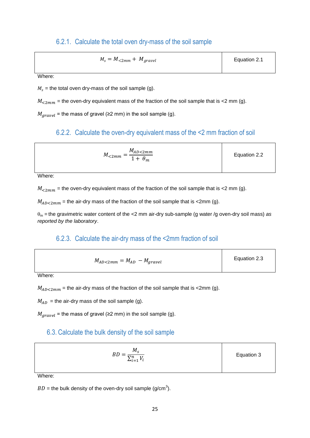#### 6.2.1. Calculate the total oven dry-mass of the soil sample

$$
M_s = M_{\lt 2mm} + M_{gravel}
$$
   
Equation 2.1

Where:

 $M_s$  = the total oven dry-mass of the soil sample (g).

 $M_{\rm < 2mm}$  = the oven-dry equivalent mass of the fraction of the soil sample that is <2 mm (g).

 $M_{aravel}$  = the mass of gravel (≥2 mm) in the soil sample (g).

### 6.2.2. Calculate the oven-dry equivalent mass of the <2 mm fraction of soil

| $M_{AD<2mm}$<br>$M_{\leq 2mm} =$<br>$1 + \theta_m$ | Equation 2.2 |
|----------------------------------------------------|--------------|
|                                                    |              |

Where:

 $M_{\rm < 2mm}$  = the oven-dry equivalent mass of the fraction of the soil sample that is <2 mm (g).

 $M_{AD<2mm}$  = the air-dry mass of the fraction of the soil sample that is <2mm (g).

 $\theta_m$  = the gravimetric water content of the <2 mm air-dry sub-sample (g water /g oven-dry soil mass) *as reported by the laboratory*.

#### 6.2.3. Calculate the air-dry mass of the <2mm fraction of soil

| $M_{AD<2mm} = M_{AD} - M_{gravel}$ | Equation 2.3 |
|------------------------------------|--------------|
|                                    |              |

Where:

 $M_{AD<2mm}$  = the air-dry mass of the fraction of the soil sample that is <2mm (g).

 $M_{AD}$  = the air-dry mass of the soil sample (g).

 $M_{aravel}$  = the mass of gravel (≥2 mm) in the soil sample (g).

#### 6.3. Calculate the bulk density of the soil sample

| $M_{\rm c}$<br><b>BD</b><br>د. ـ<br>$\sum_{i=1}^n V_i$ | Equation 3 |
|--------------------------------------------------------|------------|
|                                                        |            |

Where:

 $BD =$  the bulk density of the oven-dry soil sample (g/cm<sup>3</sup>).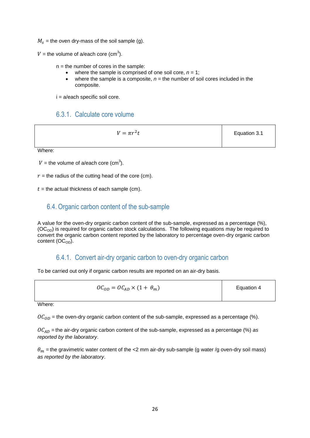$M_s$  = the oven dry-mass of the soil sample (g).

 $V =$  the volume of a/each core (cm<sup>3</sup>).

 $n =$  the number of cores in the sample:

- where the sample is comprised of one soil core,  $n = 1$ ;
- where the sample is a composite,  $n =$  the number of soil cores included in the composite.

 $i = a$ /each specific soil core.

### 6.3.1. Calculate core volume

 $V = \pi r^2$ 

Equation 3.1

Where:

 $V =$  the volume of a/each core (cm<sup>3</sup>).

 $r =$  the radius of the cutting head of the core (cm).

 $t =$  the actual thickness of each sample (cm).

### 6.4. Organic carbon content of the sub-sample

A value for the oven-dry organic carbon content of the sub-sample, expressed as a percentage (%),  $(OC<sub>OD</sub>)$  is required for organic carbon stock calculations. The following equations may be required to convert the organic carbon content reported by the laboratory to percentage oven-dry organic carbon content  $(OC<sub>OD</sub>)$ .

### 6.4.1. Convert air-dry organic carbon to oven-dry organic carbon

To be carried out only if organic carbon results are reported on an air-dry basis.

$$
OC_{OD} = OC_{AD} \times (1 + \theta_m)
$$
 Equation 4

Where:

 $OC<sub>OD</sub>$  = the oven-dry organic carbon content of the sub-sample, expressed as a percentage (%).

 $OC_{AD}$  = the air-dry organic carbon content of the sub-sample, expressed as a percentage (%) *as reported by the laboratory*.

 $\theta_m$  = the gravimetric water content of the <2 mm air-dry sub-sample (g water /g oven-dry soil mass) *as reported by the laboratory*.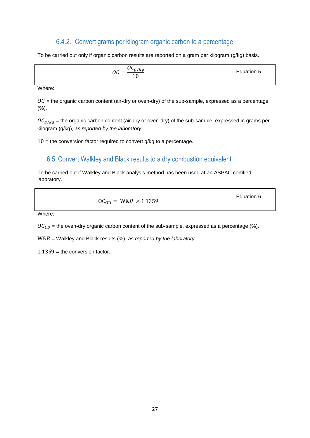### 6.4.2. Convert grams per kilogram organic carbon to a percentage

To be carried out only if organic carbon results are reported on a gram per kilogram (g/kg) basis.

| $OC_{g/kg}$<br>nΓ<br>$\equiv$<br>UU<br>ΤÛ | Equation 5 |
|-------------------------------------------|------------|

Where:

 $OC$  = the organic carbon content (air-dry or oven-dry) of the sub-sample, expressed as a percentage (%).

 $0 \zeta_{g/kg}$  = the organic carbon content (air-dry or oven-dry) of the sub-sample, expressed in grams per kilogram (g/kg), *as reported by the laboratory*.

 $10$  = the conversion factor required to convert g/kg to a percentage.

### 6.5. Convert Walkley and Black results to a dry combustion equivalent

To be carried out if Walkley and Black analysis method has been used at an ASPAC certified laboratory.

Where:

 $OC<sub>OD</sub>$  = the oven-dry organic carbon content of the sub-sample, expressed as a percentage (%).

= Walkley and Black results (%), *as reported by the laboratory*.

 $1.1359$  = the conversion factor.